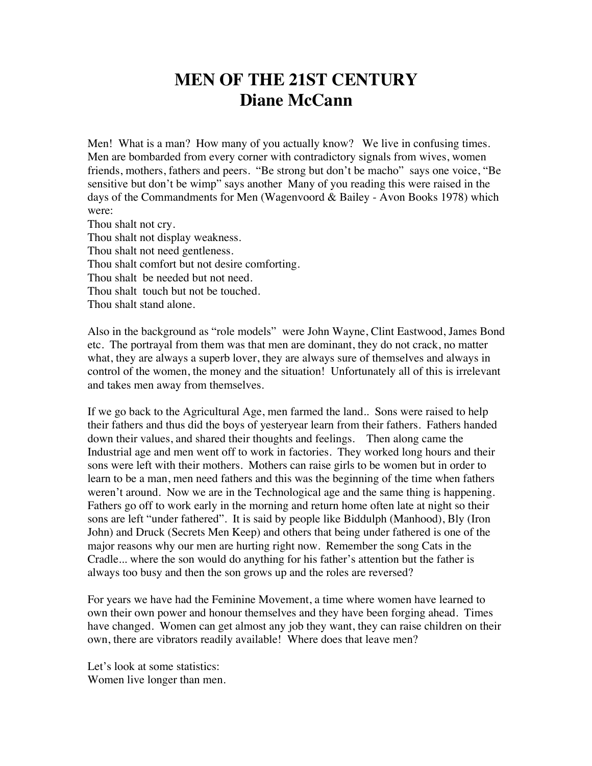## **MEN OF THE 21ST CENTURY Diane McCann**

Men! What is a man? How many of you actually know? We live in confusing times. Men are bombarded from every corner with contradictory signals from wives, women friends, mothers, fathers and peers. "Be strong but don't be macho" says one voice, "Be sensitive but don't be wimp" says another Many of you reading this were raised in the days of the Commandments for Men (Wagenvoord & Bailey - Avon Books 1978) which were:

Thou shalt not cry. Thou shalt not display weakness. Thou shalt not need gentleness. Thou shalt comfort but not desire comforting. Thou shalt be needed but not need. Thou shalt touch but not be touched. Thou shalt stand alone.

Also in the background as "role models" were John Wayne, Clint Eastwood, James Bond etc. The portrayal from them was that men are dominant, they do not crack, no matter what, they are always a superb lover, they are always sure of themselves and always in control of the women, the money and the situation! Unfortunately all of this is irrelevant and takes men away from themselves.

If we go back to the Agricultural Age, men farmed the land.. Sons were raised to help their fathers and thus did the boys of yesteryear learn from their fathers. Fathers handed down their values, and shared their thoughts and feelings. Then along came the Industrial age and men went off to work in factories. They worked long hours and their sons were left with their mothers. Mothers can raise girls to be women but in order to learn to be a man, men need fathers and this was the beginning of the time when fathers weren't around. Now we are in the Technological age and the same thing is happening. Fathers go off to work early in the morning and return home often late at night so their sons are left "under fathered". It is said by people like Biddulph (Manhood), Bly (Iron John) and Druck (Secrets Men Keep) and others that being under fathered is one of the major reasons why our men are hurting right now. Remember the song Cats in the Cradle... where the son would do anything for his father's attention but the father is always too busy and then the son grows up and the roles are reversed?

For years we have had the Feminine Movement, a time where women have learned to own their own power and honour themselves and they have been forging ahead. Times have changed. Women can get almost any job they want, they can raise children on their own, there are vibrators readily available! Where does that leave men?

Let's look at some statistics: Women live longer than men.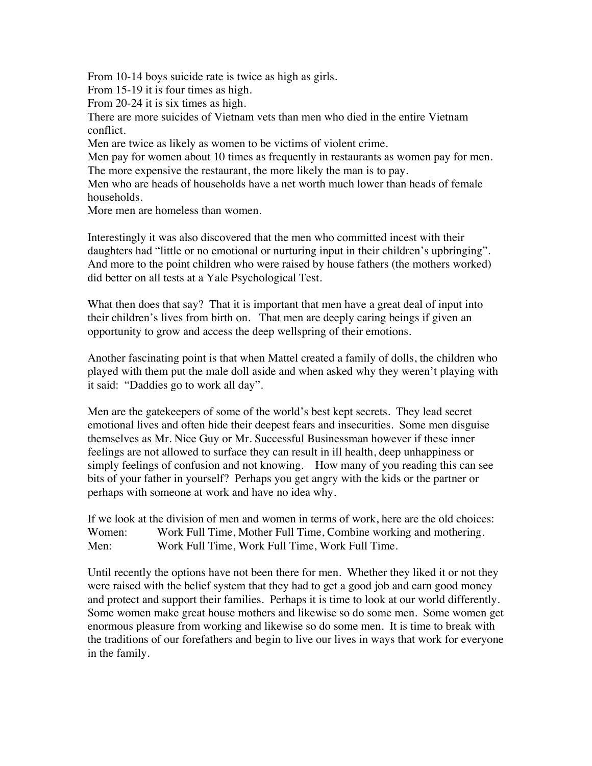From 10-14 boys suicide rate is twice as high as girls.

From 15-19 it is four times as high.

From 20-24 it is six times as high.

There are more suicides of Vietnam vets than men who died in the entire Vietnam conflict.

Men are twice as likely as women to be victims of violent crime.

Men pay for women about 10 times as frequently in restaurants as women pay for men. The more expensive the restaurant, the more likely the man is to pay.

Men who are heads of households have a net worth much lower than heads of female households.

More men are homeless than women.

Interestingly it was also discovered that the men who committed incest with their daughters had "little or no emotional or nurturing input in their children's upbringing". And more to the point children who were raised by house fathers (the mothers worked) did better on all tests at a Yale Psychological Test.

What then does that say? That it is important that men have a great deal of input into their children's lives from birth on. That men are deeply caring beings if given an opportunity to grow and access the deep wellspring of their emotions.

Another fascinating point is that when Mattel created a family of dolls, the children who played with them put the male doll aside and when asked why they weren't playing with it said: "Daddies go to work all day".

Men are the gatekeepers of some of the world's best kept secrets. They lead secret emotional lives and often hide their deepest fears and insecurities. Some men disguise themselves as Mr. Nice Guy or Mr. Successful Businessman however if these inner feelings are not allowed to surface they can result in ill health, deep unhappiness or simply feelings of confusion and not knowing. How many of you reading this can see bits of your father in yourself? Perhaps you get angry with the kids or the partner or perhaps with someone at work and have no idea why.

If we look at the division of men and women in terms of work, here are the old choices: Women: Work Full Time, Mother Full Time, Combine working and mothering. Men: Work Full Time, Work Full Time, Work Full Time.

Until recently the options have not been there for men. Whether they liked it or not they were raised with the belief system that they had to get a good job and earn good money and protect and support their families. Perhaps it is time to look at our world differently. Some women make great house mothers and likewise so do some men. Some women get enormous pleasure from working and likewise so do some men. It is time to break with the traditions of our forefathers and begin to live our lives in ways that work for everyone in the family.